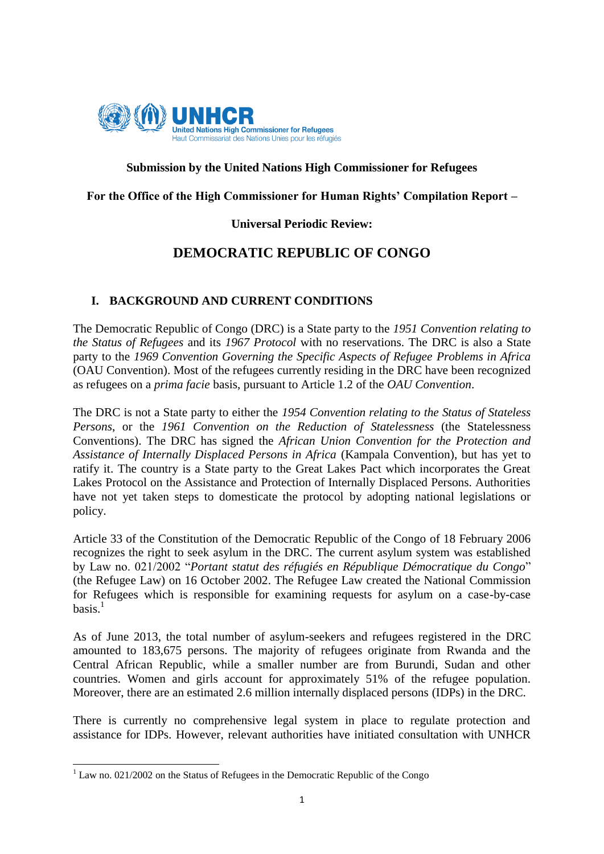

# **Submission by the United Nations High Commissioner for Refugees**

# **For the Office of the High Commissioner for Human Rights' Compilation Report –**

# **Universal Periodic Review:**

# **DEMOCRATIC REPUBLIC OF CONGO**

# **I. BACKGROUND AND CURRENT CONDITIONS**

The Democratic Republic of Congo (DRC) is a State party to the *1951 Convention relating to the Status of Refugees* and its *1967 Protocol* with no reservations. The DRC is also a State party to the *1969 Convention Governing the Specific Aspects of Refugee Problems in Africa* (OAU Convention). Most of the refugees currently residing in the DRC have been recognized as refugees on a *prima facie* basis, pursuant to Article 1.2 of the *OAU Convention*.

The DRC is not a State party to either the *1954 Convention relating to the Status of Stateless Persons*, or the *1961 Convention on the Reduction of Statelessness* (the Statelessness Conventions). The DRC has signed the *African Union Convention for the Protection and Assistance of Internally Displaced Persons in Africa* (Kampala Convention), but has yet to ratify it. The country is a State party to the Great Lakes Pact which incorporates the Great Lakes Protocol on the Assistance and Protection of Internally Displaced Persons. Authorities have not yet taken steps to domesticate the protocol by adopting national legislations or policy.

Article 33 of the Constitution of the Democratic Republic of the Congo of 18 February 2006 recognizes the right to seek asylum in the DRC. The current asylum system was established by Law no. 021/2002 "*Portant statut des réfugiés en République Démocratique du Congo*" (the Refugee Law) on 16 October 2002. The Refugee Law created the National Commission for Refugees which is responsible for examining requests for asylum on a case-by-case basis. $<sup>1</sup>$ </sup>

As of June 2013, the total number of asylum-seekers and refugees registered in the DRC amounted to 183,675 persons. The majority of refugees originate from Rwanda and the Central African Republic, while a smaller number are from Burundi, Sudan and other countries. Women and girls account for approximately 51% of the refugee population. Moreover, there are an estimated 2.6 million internally displaced persons (IDPs) in the DRC.

There is currently no comprehensive legal system in place to regulate protection and assistance for IDPs. However, relevant authorities have initiated consultation with UNHCR

1

 $1$  Law no. 021/2002 on the Status of Refugees in the Democratic Republic of the Congo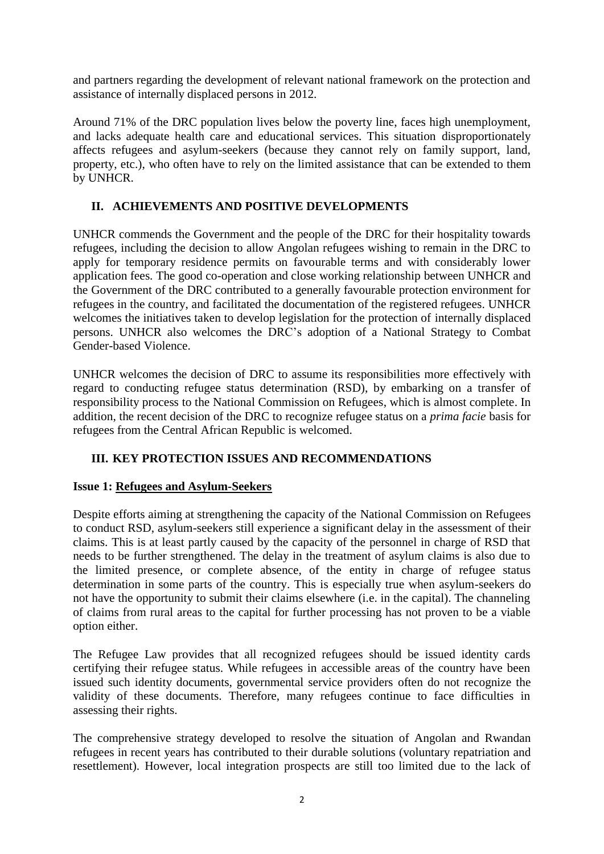and partners regarding the development of relevant national framework on the protection and assistance of internally displaced persons in 2012.

Around 71% of the DRC population lives below the poverty line, faces high unemployment, and lacks adequate health care and educational services. This situation disproportionately affects refugees and asylum-seekers (because they cannot rely on family support, land, property, etc.), who often have to rely on the limited assistance that can be extended to them by UNHCR.

# **II. ACHIEVEMENTS AND POSITIVE DEVELOPMENTS**

UNHCR commends the Government and the people of the DRC for their hospitality towards refugees, including the decision to allow Angolan refugees wishing to remain in the DRC to apply for temporary residence permits on favourable terms and with considerably lower application fees. The good co-operation and close working relationship between UNHCR and the Government of the DRC contributed to a generally favourable protection environment for refugees in the country, and facilitated the documentation of the registered refugees. UNHCR welcomes the initiatives taken to develop legislation for the protection of internally displaced persons. UNHCR also welcomes the DRC's adoption of a National Strategy to Combat Gender-based Violence.

UNHCR welcomes the decision of DRC to assume its responsibilities more effectively with regard to conducting refugee status determination (RSD), by embarking on a transfer of responsibility process to the National Commission on Refugees, which is almost complete. In addition, the recent decision of the DRC to recognize refugee status on a *prima facie* basis for refugees from the Central African Republic is welcomed.

# **III. KEY PROTECTION ISSUES AND RECOMMENDATIONS**

# **Issue 1: Refugees and Asylum-Seekers**

Despite efforts aiming at strengthening the capacity of the National Commission on Refugees to conduct RSD, asylum-seekers still experience a significant delay in the assessment of their claims. This is at least partly caused by the capacity of the personnel in charge of RSD that needs to be further strengthened. The delay in the treatment of asylum claims is also due to the limited presence, or complete absence, of the entity in charge of refugee status determination in some parts of the country. This is especially true when asylum-seekers do not have the opportunity to submit their claims elsewhere (i.e. in the capital). The channeling of claims from rural areas to the capital for further processing has not proven to be a viable option either.

The Refugee Law provides that all recognized refugees should be issued identity cards certifying their refugee status. While refugees in accessible areas of the country have been issued such identity documents, governmental service providers often do not recognize the validity of these documents. Therefore, many refugees continue to face difficulties in assessing their rights.

The comprehensive strategy developed to resolve the situation of Angolan and Rwandan refugees in recent years has contributed to their durable solutions (voluntary repatriation and resettlement). However, local integration prospects are still too limited due to the lack of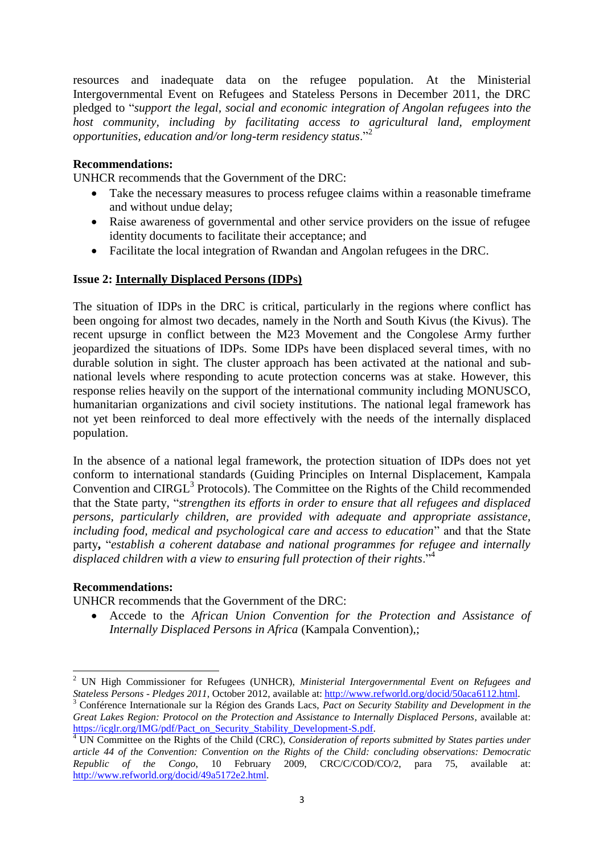resources and inadequate data on the refugee population. At the Ministerial Intergovernmental Event on Refugees and Stateless Persons in December 2011, the DRC pledged to "*support the legal, social and economic integration of Angolan refugees into the host community, including by facilitating access to agricultural land, employment opportunities, education and/or long-term residency status*."<sup>2</sup>

# **Recommendations:**

UNHCR recommends that the Government of the DRC:

- Take the necessary measures to process refugee claims within a reasonable timeframe and without undue delay;
- Raise awareness of governmental and other service providers on the issue of refugee identity documents to facilitate their acceptance; and
- Facilitate the local integration of Rwandan and Angolan refugees in the DRC.

# **Issue 2: Internally Displaced Persons (IDPs)**

The situation of IDPs in the DRC is critical, particularly in the regions where conflict has been ongoing for almost two decades, namely in the North and South Kivus (the Kivus). The recent upsurge in conflict between the M23 Movement and the Congolese Army further jeopardized the situations of IDPs. Some IDPs have been displaced several times, with no durable solution in sight. The cluster approach has been activated at the national and subnational levels where responding to acute protection concerns was at stake. However, this response relies heavily on the support of the international community including MONUSCO, humanitarian organizations and civil society institutions. The national legal framework has not yet been reinforced to deal more effectively with the needs of the internally displaced population.

In the absence of a national legal framework, the protection situation of IDPs does not yet conform to international standards (Guiding Principles on Internal Displacement, Kampala Convention and CIRGL<sup>3</sup> Protocols). The Committee on the Rights of the Child recommended that the State party, "*strengthen its efforts in order to ensure that all refugees and displaced persons, particularly children, are provided with adequate and appropriate assistance, including food, medical and psychological care and access to education*" and that the State party**,** "*establish a coherent database and national programmes for refugee and internally displaced children with a view to ensuring full protection of their rights*."<sup>4</sup>

### **Recommendations:**

**.** 

UNHCR recommends that the Government of the DRC:

 Accede to the *African Union Convention for the Protection and Assistance of Internally Displaced Persons in Africa* (Kampala Convention),;

<sup>2</sup> UN High Commissioner for Refugees (UNHCR), *Ministerial Intergovernmental Event on Refugees and Stateless Persons - Pledges 2011*, October 2012, available at: [http://www.refworld.org/docid/50aca6112.html.](http://www.refworld.org/docid/50aca6112.html) 

<sup>3</sup> Conférence Internationale sur la Région des Grands Lacs, *Pact on Security Stability and Development in the Great Lakes Region: Protocol on the Protection and Assistance to Internally Displaced Persons*, available at: [https://icglr.org/IMG/pdf/Pact\\_on\\_Security\\_Stability\\_Development-S.pdf.](https://icglr.org/IMG/pdf/Pact_on_Security_Stability_Development-S.pdf)

<sup>&</sup>lt;sup>4</sup> UN Committee on the Rights of the Child (CRC), *Consideration of reports submitted by States parties under article 44 of the Convention: Convention on the Rights of the Child: concluding observations: Democratic Republic of the Congo*, 10 February 2009, CRC/C/COD/CO/2, para 75, available at: [http://www.refworld.org/docid/49a5172e2.html.](http://www.refworld.org/docid/49a5172e2.html)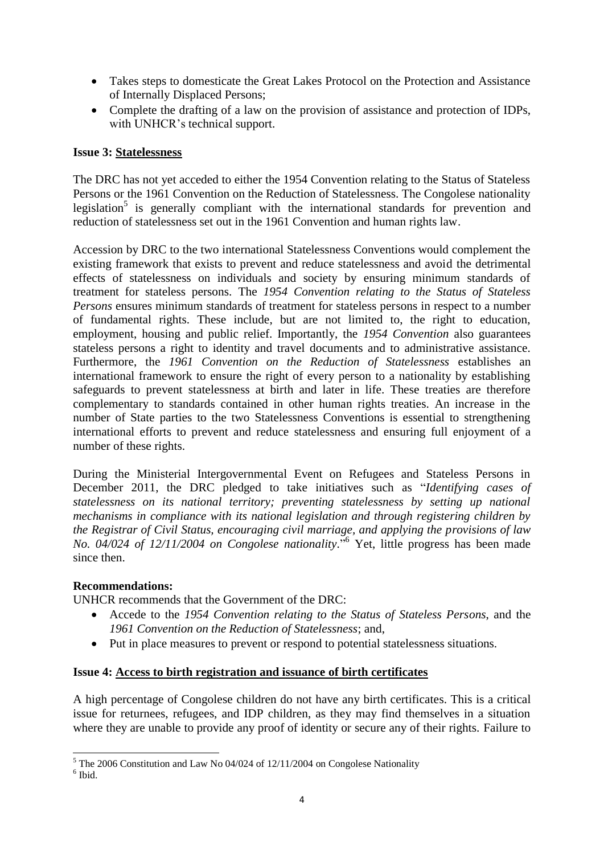- Takes steps to domesticate the Great Lakes Protocol on the Protection and Assistance of Internally Displaced Persons;
- Complete the drafting of a law on the provision of assistance and protection of IDPs, with UNHCR's technical support.

# **Issue 3: Statelessness**

The DRC has not yet acceded to either the 1954 Convention relating to the Status of Stateless Persons or the 1961 Convention on the Reduction of Statelessness. The Congolese nationality legislation<sup>5</sup> is generally compliant with the international standards for prevention and reduction of statelessness set out in the 1961 Convention and human rights law.

Accession by DRC to the two international Statelessness Conventions would complement the existing framework that exists to prevent and reduce statelessness and avoid the detrimental effects of statelessness on individuals and society by ensuring minimum standards of treatment for stateless persons. The *1954 Convention relating to the Status of Stateless Persons* ensures minimum standards of treatment for stateless persons in respect to a number of fundamental rights. These include, but are not limited to, the right to education, employment, housing and public relief. Importantly, the *1954 Convention* also guarantees stateless persons a right to identity and travel documents and to administrative assistance. Furthermore, the *1961 Convention on the Reduction of Statelessness* establishes an international framework to ensure the right of every person to a nationality by establishing safeguards to prevent statelessness at birth and later in life. These treaties are therefore complementary to standards contained in other human rights treaties. An increase in the number of State parties to the two Statelessness Conventions is essential to strengthening international efforts to prevent and reduce statelessness and ensuring full enjoyment of a number of these rights.

During the Ministerial Intergovernmental Event on Refugees and Stateless Persons in December 2011, the DRC pledged to take initiatives such as "*Identifying cases of statelessness on its national territory; preventing statelessness by setting up national mechanisms in compliance with its national legislation and through registering children by the Registrar of Civil Status, encouraging civil marriage, and applying the provisions of law No. 04/024 of 12/11/2004 on Congolese nationality.*" <sup>6</sup> Yet, little progress has been made since then.

# **Recommendations:**

UNHCR recommends that the Government of the DRC:

- Accede to the *1954 Convention relating to the Status of Stateless Persons*, and the *1961 Convention on the Reduction of Statelessness*; and,
- Put in place measures to prevent or respond to potential statelessness situations.

### **Issue 4: Access to birth registration and issuance of birth certificates**

A high percentage of Congolese children do not have any birth certificates. This is a critical issue for returnees, refugees, and IDP children, as they may find themselves in a situation where they are unable to provide any proof of identity or secure any of their rights. Failure to

**.** 

 $5$  The 2006 Constitution and Law No 04/024 of 12/11/2004 on Congolese Nationality

<sup>6</sup> Ibid.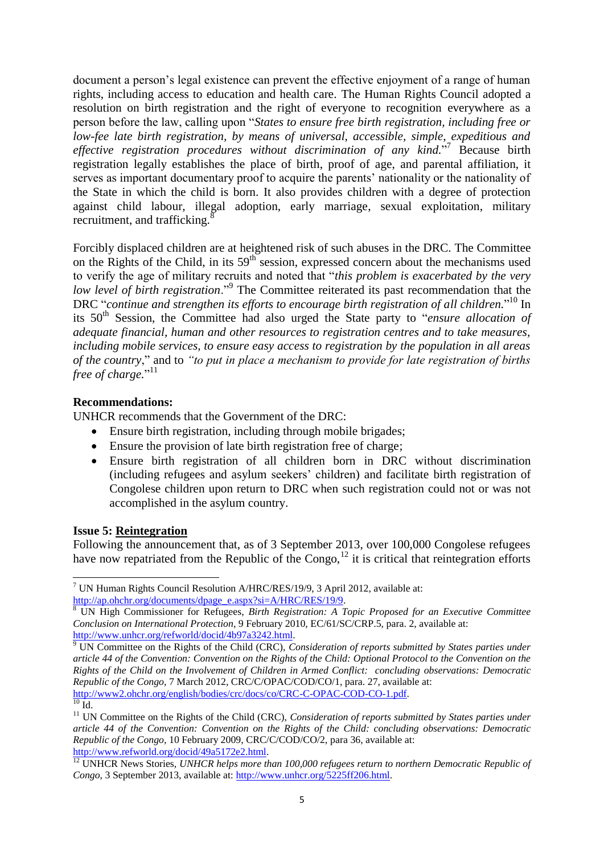document a person's legal existence can prevent the effective enjoyment of a range of human rights, including access to education and health care. The Human Rights Council adopted a resolution on birth registration and the right of everyone to recognition everywhere as a person before the law, calling upon "*States to ensure free birth registration, including free or low-fee late birth registration, by means of universal, accessible, simple, expeditious and*  effective registration procedures without discrimination of any kind.<sup>77</sup> Because birth registration legally establishes the place of birth, proof of age, and parental affiliation, it serves as important documentary proof to acquire the parents' nationality or the nationality of the State in which the child is born. It also provides children with a degree of protection against child labour, illegal adoption, early marriage, sexual exploitation, military recruitment, and trafficking. $8$ 

Forcibly displaced children are at heightened risk of such abuses in the DRC. The Committee on the Rights of the Child, in its  $59<sup>th</sup>$  session, expressed concern about the mechanisms used to verify the age of military recruits and noted that "*this problem is exacerbated by the very*  low level of birth registration."<sup>9</sup> The Committee reiterated its past recommendation that the DRC "continue and strengthen its efforts to encourage birth registration of all children."<sup>10</sup> In its 50<sup>th</sup> Session, the Committee had also urged the State party to "*ensure allocation of adequate financial, human and other resources to registration centres and to take measures, including mobile services, to ensure easy access to registration by the population in all areas of the country*," and to *"to put in place a mechanism to provide for late registration of births*  free of charge."<sup>11</sup>

# **Recommendations:**

UNHCR recommends that the Government of the DRC:

- Ensure birth registration, including through mobile brigades;
- Ensure the provision of late birth registration free of charge;
- Ensure birth registration of all children born in DRC without discrimination (including refugees and asylum seekers' children) and facilitate birth registration of Congolese children upon return to DRC when such registration could not or was not accomplished in the asylum country.

### **Issue 5: Reintegration**

Following the announcement that, as of 3 September 2013, over 100,000 Congolese refugees have now repatriated from the Republic of the Congo,<sup>12</sup> it is critical that reintegration efforts

**<sup>.</sup>** <sup>7</sup> UN Human Rights Council Resolution A/HRC/RES/19/9, 3 April 2012, available at: [http://ap.ohchr.org/documents/dpage\\_e.aspx?si=A/HRC/RES/19/9.](http://ap.ohchr.org/documents/dpage_e.aspx?si=A/HRC/RES/19/9)

<sup>8</sup> UN High Commissioner for Refugees, *Birth Registration: A Topic Proposed for an Executive Committee Conclusion on International Protection*, 9 February 2010, EC/61/SC/CRP.5, para. 2, available at: [http://www.unhcr.org/refworld/docid/4b97a3242.html.](http://www.unhcr.org/refworld/docid/4b97a3242.html)

<sup>9</sup> UN Committee on the Rights of the Child (CRC), *Consideration of reports submitted by States parties under article 44 of the Convention: Convention on the Rights of the Child: Optional Protocol to the Convention on the Rights of the Child on the Involvement of Children in Armed Conflict: concluding observations: Democratic Republic of the Congo*, 7 March 2012, CRC/C/OPAC/COD/CO/1, para. 27, available at: [http://www2.ohchr.org/english/bodies/crc/docs/co/CRC-C-OPAC-COD-CO-1.pdf.](http://www2.ohchr.org/english/bodies/crc/docs/co/CRC-C-OPAC-COD-CO-1.pdf)

 $^{10}$  Id.

<sup>&</sup>lt;sup>11</sup> UN Committee on the Rights of the Child (CRC), *Consideration of reports submitted by States parties under article 44 of the Convention: Convention on the Rights of the Child: concluding observations: Democratic Republic of the Congo*, 10 February 2009, CRC/C/COD/CO/2, para 36, available at: [http://www.refworld.org/docid/49a5172e2.html.](http://www.refworld.org/docid/49a5172e2.html)

<sup>&</sup>lt;sup>12</sup> UNHCR News Stories, *UNHCR helps more than 100,000 refugees return to northern Democratic Republic of Congo*, 3 September 2013, available at[: http://www.unhcr.org/5225ff206.html.](http://www.unhcr.org/5225ff206.html)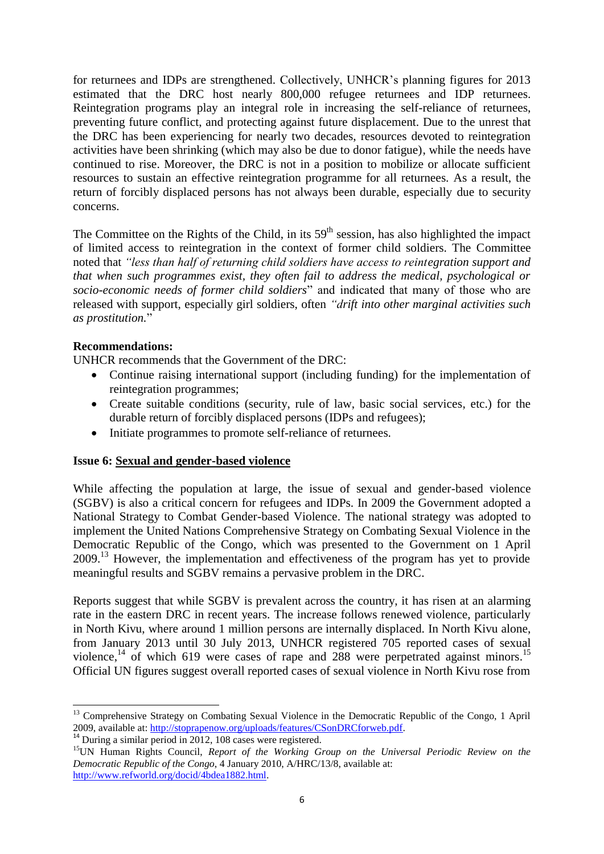for returnees and IDPs are strengthened. Collectively, UNHCR's planning figures for 2013 estimated that the DRC host nearly 800,000 refugee returnees and IDP returnees. Reintegration programs play an integral role in increasing the self-reliance of returnees, preventing future conflict, and protecting against future displacement. Due to the unrest that the DRC has been experiencing for nearly two decades, resources devoted to reintegration activities have been shrinking (which may also be due to donor fatigue), while the needs have continued to rise. Moreover, the DRC is not in a position to mobilize or allocate sufficient resources to sustain an effective reintegration programme for all returnees. As a result, the return of forcibly displaced persons has not always been durable, especially due to security concerns.

The Committee on the Rights of the Child, in its  $59<sup>th</sup>$  session, has also highlighted the impact of limited access to reintegration in the context of former child soldiers. The Committee noted that *"less than half of returning child soldiers have access to reintegration support and that when such programmes exist, they often fail to address the medical, psychological or socio-economic needs of former child soldiers*" and indicated that many of those who are released with support, especially girl soldiers, often *"drift into other marginal activities such as prostitution.*"

### **Recommendations:**

**.** 

UNHCR recommends that the Government of the DRC:

- Continue raising international support (including funding) for the implementation of reintegration programmes;
- Create suitable conditions (security, rule of law, basic social services, etc.) for the durable return of forcibly displaced persons (IDPs and refugees);
- Initiate programmes to promote self-reliance of returnees.

# **Issue 6: Sexual and gender-based violence**

While affecting the population at large, the issue of sexual and gender-based violence (SGBV) is also a critical concern for refugees and IDPs. In 2009 the Government adopted a National Strategy to Combat Gender-based Violence. The national strategy was adopted to implement the United Nations Comprehensive Strategy on Combating Sexual Violence in the Democratic Republic of the Congo, which was presented to the Government on 1 April 2009.<sup>13</sup> However, the implementation and effectiveness of the program has yet to provide meaningful results and SGBV remains a pervasive problem in the DRC.

Reports suggest that while SGBV is prevalent across the country, it has risen at an alarming rate in the eastern DRC in recent years. The increase follows renewed violence, particularly in North Kivu, where around 1 million persons are internally displaced. In North Kivu alone, from January 2013 until 30 July 2013, UNHCR registered 705 reported cases of sexual violence,<sup>14</sup> of which 619 were cases of rape and 288 were perpetrated against minors.<sup>15</sup> Official UN figures suggest overall reported cases of sexual violence in North Kivu rose from

<sup>&</sup>lt;sup>13</sup> Comprehensive Strategy on Combating Sexual Violence in the Democratic Republic of the Congo, 1 April 2009, available at: [http://stoprapenow.org/uploads/features/CSonDRCforweb.pdf.](http://stoprapenow.org/uploads/features/CSonDRCforweb.pdf)

 $14$  During a similar period in 2012, 108 cases were registered.

<sup>15</sup>UN Human Rights Council, *Report of the Working Group on the Universal Periodic Review on the Democratic Republic of the Congo*, 4 January 2010, A/HRC/13/8, available at: [http://www.refworld.org/docid/4bdea1882.html.](http://www.refworld.org/docid/4bdea1882.html)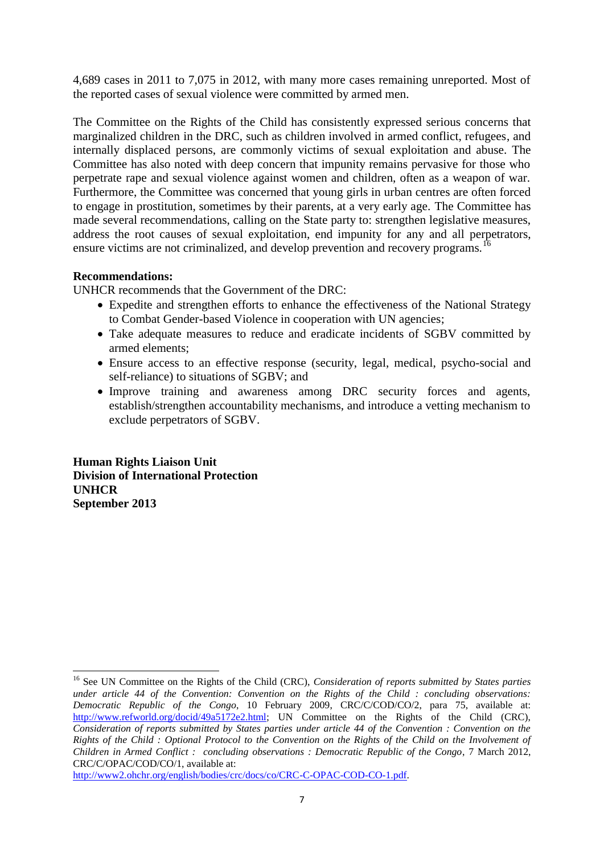4,689 cases in 2011 to 7,075 in 2012, with many more cases remaining unreported. Most of the reported cases of sexual violence were committed by armed men.

The Committee on the Rights of the Child has consistently expressed serious concerns that marginalized children in the DRC, such as children involved in armed conflict, refugees, and internally displaced persons, are commonly victims of sexual exploitation and abuse. The Committee has also noted with deep concern that impunity remains pervasive for those who perpetrate rape and sexual violence against women and children, often as a weapon of war. Furthermore, the Committee was concerned that young girls in urban centres are often forced to engage in prostitution, sometimes by their parents, at a very early age. The Committee has made several recommendations, calling on the State party to: strengthen legislative measures, address the root causes of sexual exploitation, end impunity for any and all perpetrators, ensure victims are not criminalized, and develop prevention and recovery programs.<sup>16</sup>

### **Recommendations:**

UNHCR recommends that the Government of the DRC:

- Expedite and strengthen efforts to enhance the effectiveness of the National Strategy to Combat Gender-based Violence in cooperation with UN agencies;
- Take adequate measures to reduce and eradicate incidents of SGBV committed by armed elements;
- Ensure access to an effective response (security, legal, medical, psycho-social and self-reliance) to situations of SGBV; and
- Improve training and awareness among DRC security forces and agents, establish/strengthen accountability mechanisms, and introduce a vetting mechanism to exclude perpetrators of SGBV.

**Human Rights Liaison Unit Division of International Protection UNHCR September 2013**

**<sup>.</sup>** <sup>16</sup> See UN Committee on the Rights of the Child (CRC), *Consideration of reports submitted by States parties under article 44 of the Convention: Convention on the Rights of the Child : concluding observations: Democratic Republic of the Congo*, 10 February 2009, CRC/C/COD/CO/2, para 75, available at: [http://www.refworld.org/docid/49a5172e2.html;](http://www.refworld.org/docid/49a5172e2.html) UN Committee on the Rights of the Child (CRC), *Consideration of reports submitted by States parties under article 44 of the Convention : Convention on the Rights of the Child : Optional Protocol to the Convention on the Rights of the Child on the Involvement of Children in Armed Conflict : concluding observations : Democratic Republic of the Congo*, 7 March 2012, CRC/C/OPAC/COD/CO/1, available at:

[http://www2.ohchr.org/english/bodies/crc/docs/co/CRC-C-OPAC-COD-CO-1.pdf.](http://www2.ohchr.org/english/bodies/crc/docs/co/CRC-C-OPAC-COD-CO-1.pdf)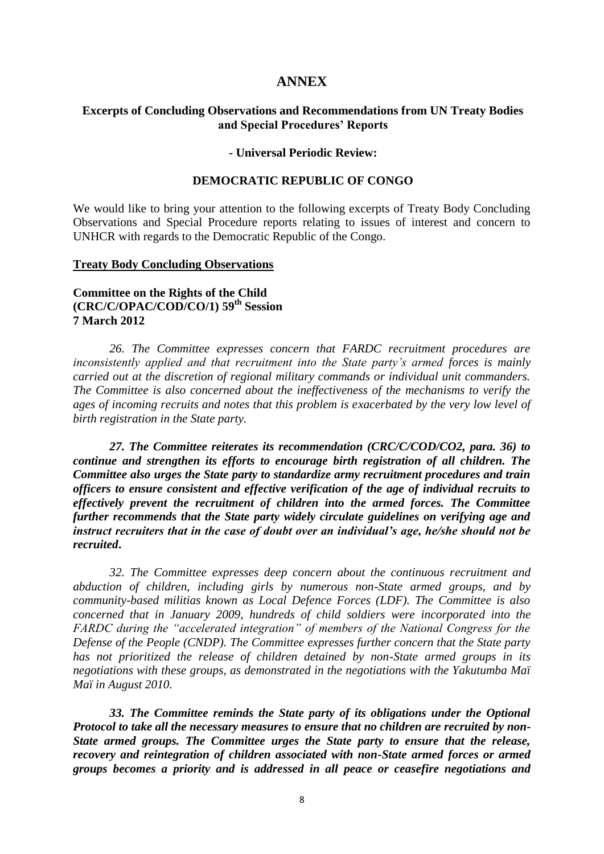#### **ANNEX**

#### **Excerpts of Concluding Observations and Recommendations from UN Treaty Bodies and Special Procedures' Reports**

#### **- Universal Periodic Review:**

#### **DEMOCRATIC REPUBLIC OF CONGO**

We would like to bring your attention to the following excerpts of Treaty Body Concluding Observations and Special Procedure reports relating to issues of interest and concern to UNHCR with regards to the Democratic Republic of the Congo.

#### **Treaty Body Concluding Observations**

### **Committee on the Rights of the Child (CRC/C/OPAC/COD/CO/1) 59th Session 7 March 2012**

*26. The Committee expresses concern that FARDC recruitment procedures are inconsistently applied and that recruitment into the State party's armed forces is mainly carried out at the discretion of regional military commands or individual unit commanders. The Committee is also concerned about the ineffectiveness of the mechanisms to verify the ages of incoming recruits and notes that this problem is exacerbated by the very low level of birth registration in the State party.*

*27. The Committee reiterates its recommendation (CRC/C/COD/CO2, para. 36) to continue and strengthen its efforts to encourage birth registration of all children. The Committee also urges the State party to standardize army recruitment procedures and train officers to ensure consistent and effective verification of the age of individual recruits to effectively prevent the recruitment of children into the armed forces. The Committee further recommends that the State party widely circulate guidelines on verifying age and instruct recruiters that in the case of doubt over an individual's age, he/she should not be recruited***.**

*32. The Committee expresses deep concern about the continuous recruitment and abduction of children, including girls by numerous non-State armed groups, and by community-based militias known as Local Defence Forces (LDF). The Committee is also concerned that in January 2009, hundreds of child soldiers were incorporated into the FARDC during the "accelerated integration" of members of the National Congress for the Defense of the People (CNDP). The Committee expresses further concern that the State party has not prioritized the release of children detained by non-State armed groups in its negotiations with these groups, as demonstrated in the negotiations with the Yakutumba Maï Maï in August 2010.*

*33. The Committee reminds the State party of its obligations under the Optional Protocol to take all the necessary measures to ensure that no children are recruited by non-State armed groups. The Committee urges the State party to ensure that the release, recovery and reintegration of children associated with non-State armed forces or armed groups becomes a priority and is addressed in all peace or ceasefire negotiations and*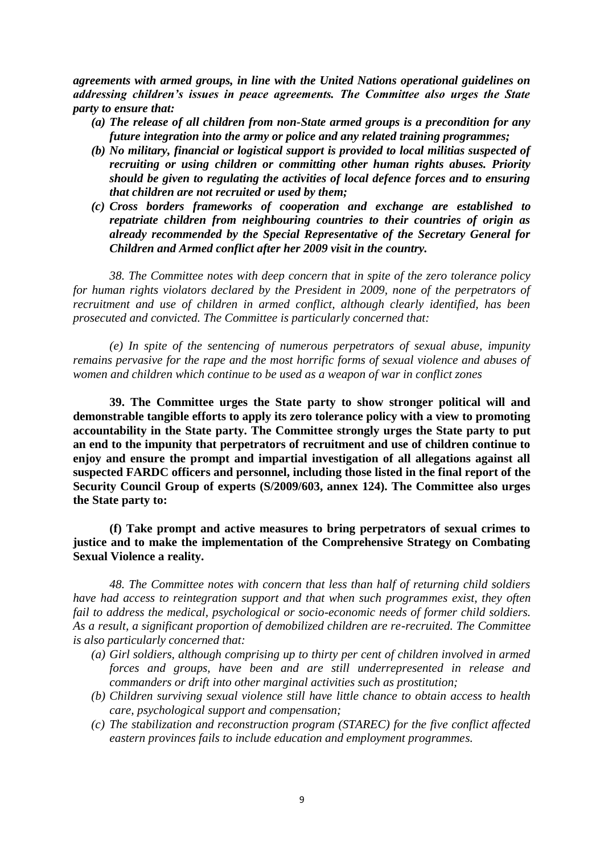*agreements with armed groups, in line with the United Nations operational guidelines on addressing children's issues in peace agreements. The Committee also urges the State party to ensure that:*

- *(a) The release of all children from non-State armed groups is a precondition for any future integration into the army or police and any related training programmes;*
- *(b) No military, financial or logistical support is provided to local militias suspected of recruiting or using children or committing other human rights abuses. Priority should be given to regulating the activities of local defence forces and to ensuring that children are not recruited or used by them;*
- *(c) Cross borders frameworks of cooperation and exchange are established to repatriate children from neighbouring countries to their countries of origin as already recommended by the Special Representative of the Secretary General for Children and Armed conflict after her 2009 visit in the country.*

*38. The Committee notes with deep concern that in spite of the zero tolerance policy for human rights violators declared by the President in 2009, none of the perpetrators of recruitment and use of children in armed conflict, although clearly identified, has been prosecuted and convicted. The Committee is particularly concerned that:*

*(e) In spite of the sentencing of numerous perpetrators of sexual abuse, impunity remains pervasive for the rape and the most horrific forms of sexual violence and abuses of women and children which continue to be used as a weapon of war in conflict zones*

**39. The Committee urges the State party to show stronger political will and demonstrable tangible efforts to apply its zero tolerance policy with a view to promoting accountability in the State party. The Committee strongly urges the State party to put an end to the impunity that perpetrators of recruitment and use of children continue to enjoy and ensure the prompt and impartial investigation of all allegations against all suspected FARDC officers and personnel, including those listed in the final report of the Security Council Group of experts (S/2009/603, annex 124). The Committee also urges the State party to:**

**(f) Take prompt and active measures to bring perpetrators of sexual crimes to justice and to make the implementation of the Comprehensive Strategy on Combating Sexual Violence a reality.**

*48. The Committee notes with concern that less than half of returning child soldiers have had access to reintegration support and that when such programmes exist, they often fail to address the medical, psychological or socio-economic needs of former child soldiers. As a result, a significant proportion of demobilized children are re-recruited. The Committee is also particularly concerned that:*

- *(a) Girl soldiers, although comprising up to thirty per cent of children involved in armed forces and groups, have been and are still underrepresented in release and commanders or drift into other marginal activities such as prostitution;*
- *(b) Children surviving sexual violence still have little chance to obtain access to health care, psychological support and compensation;*
- *(c) The stabilization and reconstruction program (STAREC) for the five conflict affected eastern provinces fails to include education and employment programmes.*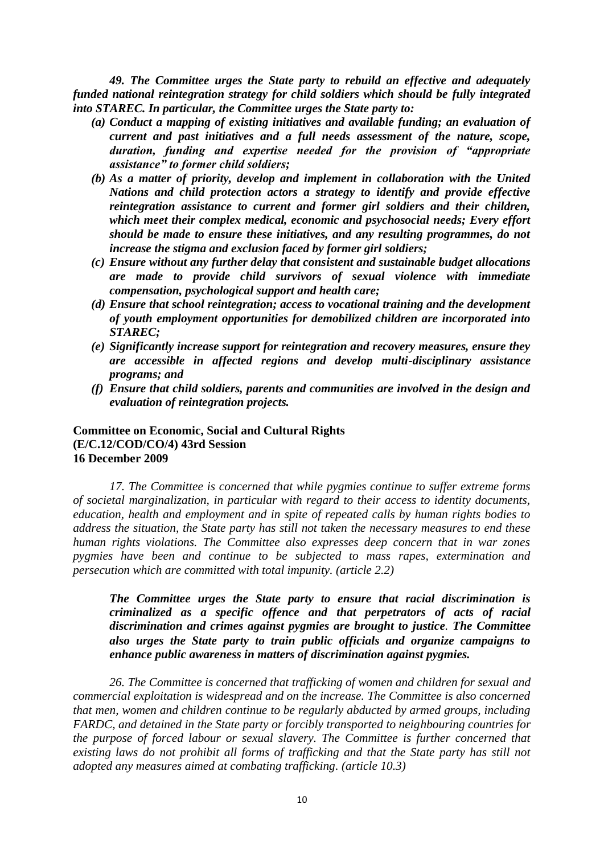*49. The Committee urges the State party to rebuild an effective and adequately funded national reintegration strategy for child soldiers which should be fully integrated into STAREC. In particular, the Committee urges the State party to:*

- *(a) Conduct a mapping of existing initiatives and available funding; an evaluation of current and past initiatives and a full needs assessment of the nature, scope, duration, funding and expertise needed for the provision of "appropriate assistance" to former child soldiers;*
- *(b) As a matter of priority, develop and implement in collaboration with the United Nations and child protection actors a strategy to identify and provide effective reintegration assistance to current and former girl soldiers and their children, which meet their complex medical, economic and psychosocial needs; Every effort should be made to ensure these initiatives, and any resulting programmes, do not increase the stigma and exclusion faced by former girl soldiers;*
- *(c) Ensure without any further delay that consistent and sustainable budget allocations are made to provide child survivors of sexual violence with immediate compensation, psychological support and health care;*
- *(d) Ensure that school reintegration; access to vocational training and the development of youth employment opportunities for demobilized children are incorporated into STAREC;*
- *(e) Significantly increase support for reintegration and recovery measures, ensure they are accessible in affected regions and develop multi-disciplinary assistance programs; and*
- *(f) Ensure that child soldiers, parents and communities are involved in the design and evaluation of reintegration projects.*

### **Committee on Economic, Social and Cultural Rights (E/C.12/COD/CO/4) 43rd Session 16 December 2009**

*17. The Committee is concerned that while pygmies continue to suffer extreme forms of societal marginalization, in particular with regard to their access to identity documents, education, health and employment and in spite of repeated calls by human rights bodies to address the situation, the State party has still not taken the necessary measures to end these human rights violations. The Committee also expresses deep concern that in war zones pygmies have been and continue to be subjected to mass rapes, extermination and persecution which are committed with total impunity. (article 2.2)*

# *The Committee urges the State party to ensure that racial discrimination is criminalized as a specific offence and that perpetrators of acts of racial discrimination and crimes against pygmies are brought to justice. The Committee also urges the State party to train public officials and organize campaigns to enhance public awareness in matters of discrimination against pygmies.*

*26. The Committee is concerned that trafficking of women and children for sexual and commercial exploitation is widespread and on the increase. The Committee is also concerned that men, women and children continue to be regularly abducted by armed groups, including FARDC, and detained in the State party or forcibly transported to neighbouring countries for the purpose of forced labour or sexual slavery. The Committee is further concerned that existing laws do not prohibit all forms of trafficking and that the State party has still not adopted any measures aimed at combating trafficking. (article 10.3)*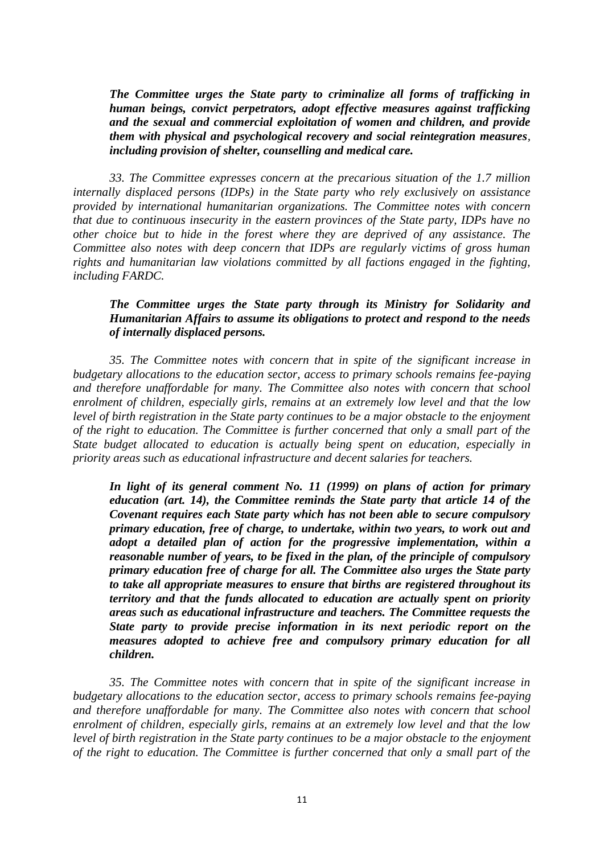*The Committee urges the State party to criminalize all forms of trafficking in human beings, convict perpetrators, adopt effective measures against trafficking and the sexual and commercial exploitation of women and children, and provide them with physical and psychological recovery and social reintegration measures, including provision of shelter, counselling and medical care.*

*33. The Committee expresses concern at the precarious situation of the 1.7 million internally displaced persons (IDPs) in the State party who rely exclusively on assistance provided by international humanitarian organizations. The Committee notes with concern that due to continuous insecurity in the eastern provinces of the State party, IDPs have no other choice but to hide in the forest where they are deprived of any assistance. The Committee also notes with deep concern that IDPs are regularly victims of gross human rights and humanitarian law violations committed by all factions engaged in the fighting, including FARDC.*

### *The Committee urges the State party through its Ministry for Solidarity and Humanitarian Affairs to assume its obligations to protect and respond to the needs of internally displaced persons.*

*35. The Committee notes with concern that in spite of the significant increase in budgetary allocations to the education sector, access to primary schools remains fee-paying and therefore unaffordable for many. The Committee also notes with concern that school enrolment of children, especially girls, remains at an extremely low level and that the low level of birth registration in the State party continues to be a major obstacle to the enjoyment of the right to education. The Committee is further concerned that only a small part of the State budget allocated to education is actually being spent on education, especially in priority areas such as educational infrastructure and decent salaries for teachers.*

*In light of its general comment No. 11 (1999) on plans of action for primary education (art. 14), the Committee reminds the State party that article 14 of the Covenant requires each State party which has not been able to secure compulsory primary education, free of charge, to undertake, within two years, to work out and adopt a detailed plan of action for the progressive implementation, within a reasonable number of years, to be fixed in the plan, of the principle of compulsory primary education free of charge for all. The Committee also urges the State party to take all appropriate measures to ensure that births are registered throughout its territory and that the funds allocated to education are actually spent on priority areas such as educational infrastructure and teachers. The Committee requests the State party to provide precise information in its next periodic report on the measures adopted to achieve free and compulsory primary education for all children.*

*35. The Committee notes with concern that in spite of the significant increase in budgetary allocations to the education sector, access to primary schools remains fee-paying and therefore unaffordable for many. The Committee also notes with concern that school enrolment of children, especially girls, remains at an extremely low level and that the low level of birth registration in the State party continues to be a major obstacle to the enjoyment of the right to education. The Committee is further concerned that only a small part of the*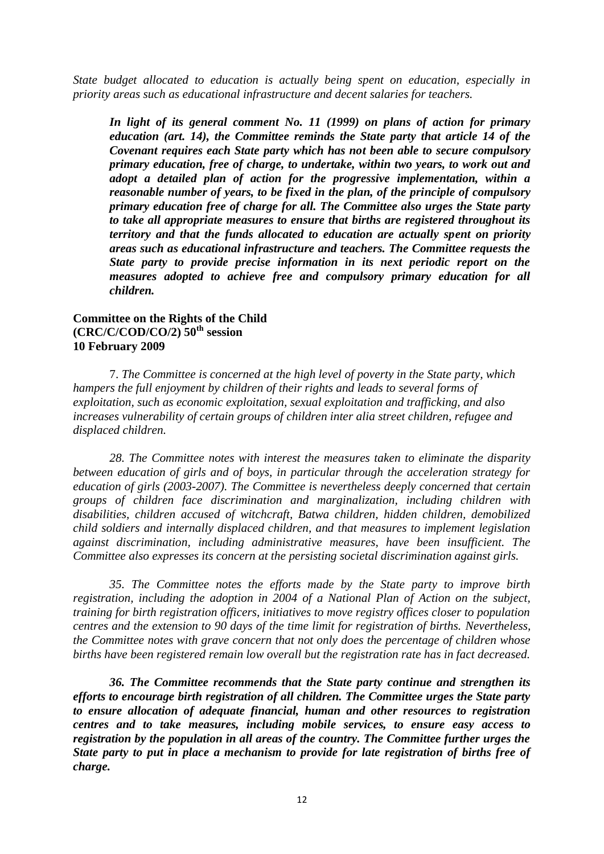*State budget allocated to education is actually being spent on education, especially in priority areas such as educational infrastructure and decent salaries for teachers.*

*In light of its general comment No. 11 (1999) on plans of action for primary education (art. 14), the Committee reminds the State party that article 14 of the Covenant requires each State party which has not been able to secure compulsory primary education, free of charge, to undertake, within two years, to work out and adopt a detailed plan of action for the progressive implementation, within a reasonable number of years, to be fixed in the plan, of the principle of compulsory primary education free of charge for all. The Committee also urges the State party to take all appropriate measures to ensure that births are registered throughout its territory and that the funds allocated to education are actually spent on priority areas such as educational infrastructure and teachers. The Committee requests the State party to provide precise information in its next periodic report on the measures adopted to achieve free and compulsory primary education for all children.*

### **Committee on the Rights of the Child (CRC/C/COD/CO/2) 50th session 10 February 2009**

7. *The Committee is concerned at the high level of poverty in the State party, which hampers the full enjoyment by children of their rights and leads to several forms of exploitation, such as economic exploitation, sexual exploitation and trafficking, and also increases vulnerability of certain groups of children inter alia street children, refugee and displaced children.* 

*28. The Committee notes with interest the measures taken to eliminate the disparity between education of girls and of boys, in particular through the acceleration strategy for education of girls (2003-2007). The Committee is nevertheless deeply concerned that certain groups of children face discrimination and marginalization, including children with disabilities, children accused of witchcraft, Batwa children, hidden children, demobilized child soldiers and internally displaced children, and that measures to implement legislation against discrimination, including administrative measures, have been insufficient. The Committee also expresses its concern at the persisting societal discrimination against girls.* 

*35. The Committee notes the efforts made by the State party to improve birth registration, including the adoption in 2004 of a National Plan of Action on the subject, training for birth registration officers, initiatives to move registry offices closer to population centres and the extension to 90 days of the time limit for registration of births. Nevertheless, the Committee notes with grave concern that not only does the percentage of children whose births have been registered remain low overall but the registration rate has in fact decreased.*

*36. The Committee recommends that the State party continue and strengthen its efforts to encourage birth registration of all children. The Committee urges the State party to ensure allocation of adequate financial, human and other resources to registration centres and to take measures, including mobile services, to ensure easy access to registration by the population in all areas of the country. The Committee further urges the State party to put in place a mechanism to provide for late registration of births free of charge.*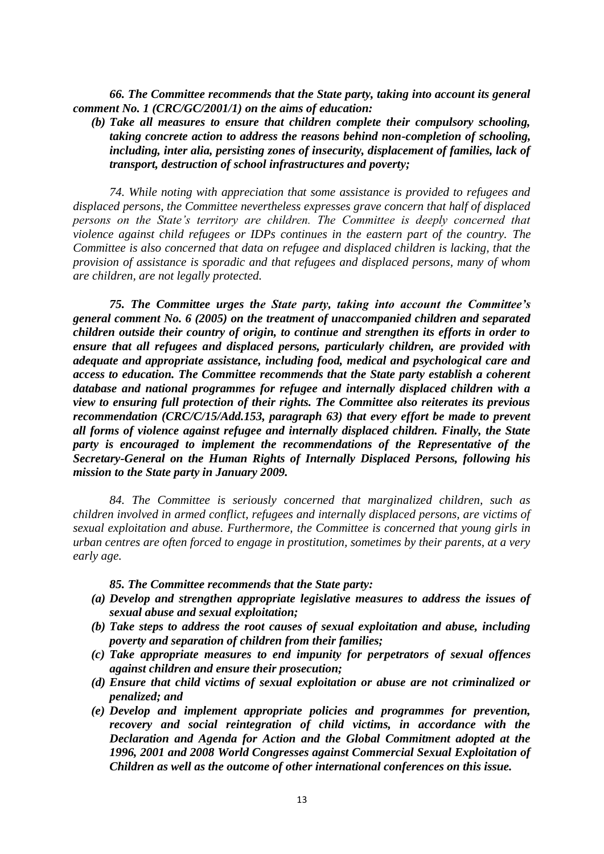*66. The Committee recommends that the State party, taking into account its general comment No. 1 (CRC/GC/2001/1) on the aims of education:* 

*(b) Take all measures to ensure that children complete their compulsory schooling, taking concrete action to address the reasons behind non-completion of schooling, including, inter alia, persisting zones of insecurity, displacement of families, lack of transport, destruction of school infrastructures and poverty;* 

*74. While noting with appreciation that some assistance is provided to refugees and displaced persons, the Committee nevertheless expresses grave concern that half of displaced persons on the State's territory are children. The Committee is deeply concerned that violence against child refugees or IDPs continues in the eastern part of the country. The Committee is also concerned that data on refugee and displaced children is lacking, that the provision of assistance is sporadic and that refugees and displaced persons, many of whom are children, are not legally protected.* 

*75. The Committee urges the State party, taking into account the Committee's general comment No. 6 (2005) on the treatment of unaccompanied children and separated children outside their country of origin, to continue and strengthen its efforts in order to ensure that all refugees and displaced persons, particularly children, are provided with adequate and appropriate assistance, including food, medical and psychological care and access to education. The Committee recommends that the State party establish a coherent database and national programmes for refugee and internally displaced children with a view to ensuring full protection of their rights. The Committee also reiterates its previous recommendation (CRC/C/15/Add.153, paragraph 63) that every effort be made to prevent all forms of violence against refugee and internally displaced children. Finally, the State party is encouraged to implement the recommendations of the Representative of the Secretary-General on the Human Rights of Internally Displaced Persons, following his mission to the State party in January 2009.* 

*84. The Committee is seriously concerned that marginalized children, such as children involved in armed conflict, refugees and internally displaced persons, are victims of sexual exploitation and abuse. Furthermore, the Committee is concerned that young girls in urban centres are often forced to engage in prostitution, sometimes by their parents, at a very early age.*

*85. The Committee recommends that the State party:*

- *(a) Develop and strengthen appropriate legislative measures to address the issues of sexual abuse and sexual exploitation;*
- *(b) Take steps to address the root causes of sexual exploitation and abuse, including poverty and separation of children from their families;*
- *(c) Take appropriate measures to end impunity for perpetrators of sexual offences against children and ensure their prosecution;*
- *(d) Ensure that child victims of sexual exploitation or abuse are not criminalized or penalized; and*
- *(e) Develop and implement appropriate policies and programmes for prevention, recovery and social reintegration of child victims, in accordance with the Declaration and Agenda for Action and the Global Commitment adopted at the 1996, 2001 and 2008 World Congresses against Commercial Sexual Exploitation of Children as well as the outcome of other international conferences on this issue.*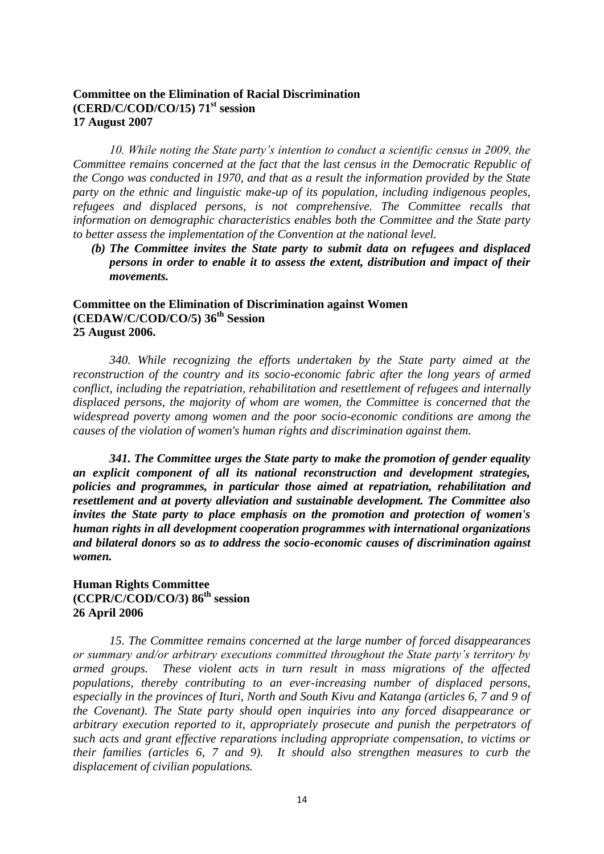# **Committee on the Elimination of Racial Discrimination (CERD/C/COD/CO/15) 71st session 17 August 2007**

*10. While noting the State party's intention to conduct a scientific census in 2009, the Committee remains concerned at the fact that the last census in the Democratic Republic of the Congo was conducted in 1970, and that as a result the information provided by the State party on the ethnic and linguistic make-up of its population, including indigenous peoples, refugees and displaced persons, is not comprehensive. The Committee recalls that information on demographic characteristics enables both the Committee and the State party to better assess the implementation of the Convention at the national level.*

*(b) The Committee invites the State party to submit data on refugees and displaced persons in order to enable it to assess the extent, distribution and impact of their movements.*

# **Committee on the Elimination of Discrimination against Women (CEDAW/C/COD/CO/5) 36th Session 25 August 2006.**

*340. While recognizing the efforts undertaken by the State party aimed at the reconstruction of the country and its socio-economic fabric after the long years of armed conflict, including the repatriation, rehabilitation and resettlement of refugees and internally displaced persons, the majority of whom are women, the Committee is concerned that the widespread poverty among women and the poor socio-economic conditions are among the causes of the violation of women's human rights and discrimination against them.* 

*341. The Committee urges the State party to make the promotion of gender equality an explicit component of all its national reconstruction and development strategies, policies and programmes, in particular those aimed at repatriation, rehabilitation and resettlement and at poverty alleviation and sustainable development. The Committee also invites the State party to place emphasis on the promotion and protection of women's human rights in all development cooperation programmes with international organizations and bilateral donors so as to address the socio-economic causes of discrimination against women.*

# **Human Rights Committee (CCPR/C/COD/CO/3) 86th session 26 April 2006**

*15. The Committee remains concerned at the large number of forced disappearances or summary and/or arbitrary executions committed throughout the State party's territory by armed groups. These violent acts in turn result in mass migrations of the affected populations, thereby contributing to an ever-increasing number of displaced persons, especially in the provinces of Ituri, North and South Kivu and Katanga (articles 6, 7 and 9 of the Covenant). The State party should open inquiries into any forced disappearance or arbitrary execution reported to it, appropriately prosecute and punish the perpetrators of such acts and grant effective reparations including appropriate compensation, to victims or their families (articles 6, 7 and 9). It should also strengthen measures to curb the displacement of civilian populations.*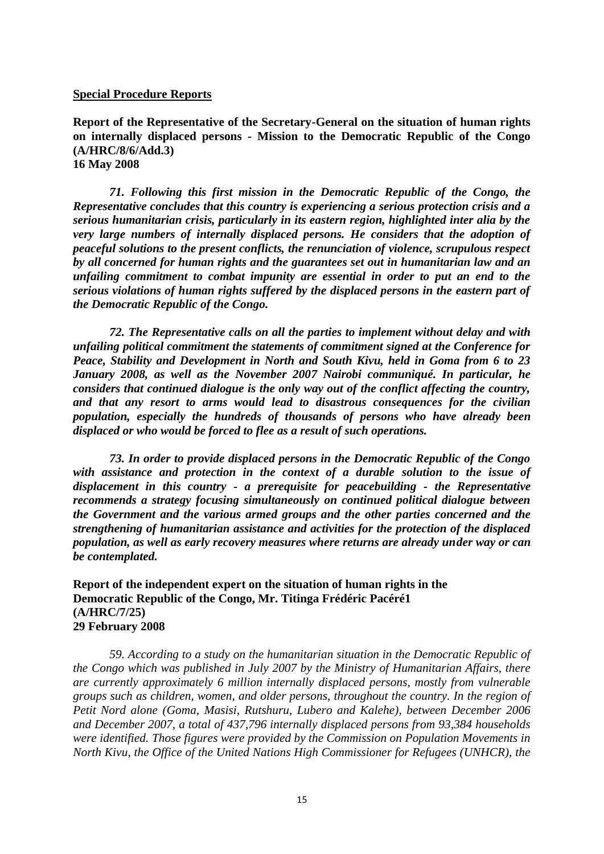#### **Special Procedure Reports**

**Report of the Representative of the Secretary-General on the situation of human rights on internally displaced persons - Mission to the Democratic Republic of the Congo (A/HRC/8/6/Add.3)** 

**16 May 2008**

*71. Following this first mission in the Democratic Republic of the Congo, the Representative concludes that this country is experiencing a serious protection crisis and a serious humanitarian crisis, particularly in its eastern region, highlighted inter alia by the very large numbers of internally displaced persons. He considers that the adoption of peaceful solutions to the present conflicts, the renunciation of violence, scrupulous respect by all concerned for human rights and the guarantees set out in humanitarian law and an unfailing commitment to combat impunity are essential in order to put an end to the serious violations of human rights suffered by the displaced persons in the eastern part of the Democratic Republic of the Congo.*

*72. The Representative calls on all the parties to implement without delay and with unfailing political commitment the statements of commitment signed at the Conference for Peace, Stability and Development in North and South Kivu, held in Goma from 6 to 23 January 2008, as well as the November 2007 Nairobi communiqué. In particular, he considers that continued dialogue is the only way out of the conflict affecting the country, and that any resort to arms would lead to disastrous consequences for the civilian population, especially the hundreds of thousands of persons who have already been displaced or who would be forced to flee as a result of such operations.*

*73. In order to provide displaced persons in the Democratic Republic of the Congo with assistance and protection in the context of a durable solution to the issue of displacement in this country - a prerequisite for peacebuilding - the Representative recommends a strategy focusing simultaneously on continued political dialogue between the Government and the various armed groups and the other parties concerned and the strengthening of humanitarian assistance and activities for the protection of the displaced population, as well as early recovery measures where returns are already under way or can be contemplated.*

**Report of the independent expert on the situation of human rights in the Democratic Republic of the Congo, Mr. Titinga Frédéric Pacéré1 (A/HRC/7/25) 29 February 2008**

*59. According to a study on the humanitarian situation in the Democratic Republic of the Congo which was published in July 2007 by the Ministry of Humanitarian Affairs, there are currently approximately 6 million internally displaced persons, mostly from vulnerable groups such as children, women, and older persons, throughout the country. In the region of Petit Nord alone (Goma, Masisi, Rutshuru, Lubero and Kalehe), between December 2006 and December 2007, a total of 437,796 internally displaced persons from 93,384 households were identified. Those figures were provided by the Commission on Population Movements in North Kivu, the Office of the United Nations High Commissioner for Refugees (UNHCR), the*